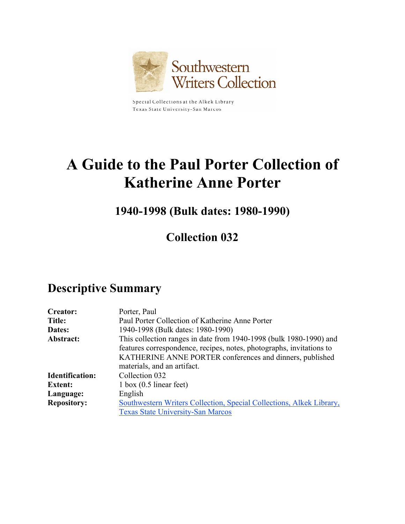

Special Collections at the Alkek Library Texas State University-San Marcos

# **A Guide to the Paul Porter Collection of Katherine Anne Porter**

**1940-1998 (Bulk dates: 1980-1990)**

**Collection 032**

## **Descriptive Summary**

| <b>Creator:</b>        | Porter, Paul                                                         |
|------------------------|----------------------------------------------------------------------|
| <b>Title:</b>          | Paul Porter Collection of Katherine Anne Porter                      |
| Dates:                 | 1940-1998 (Bulk dates: 1980-1990)                                    |
| Abstract:              | This collection ranges in date from 1940-1998 (bulk 1980-1990) and   |
|                        | features correspondence, recipes, notes, photographs, invitations to |
|                        | KATHERINE ANNE PORTER conferences and dinners, published             |
|                        | materials, and an artifact.                                          |
| <b>Identification:</b> | Collection 032                                                       |
| <b>Extent:</b>         | $1$ box $(0.5)$ linear feet)                                         |
| Language:              | English                                                              |
| <b>Repository:</b>     | Southwestern Writers Collection, Special Collections, Alkek Library, |
|                        | <b>Texas State University-San Marcos</b>                             |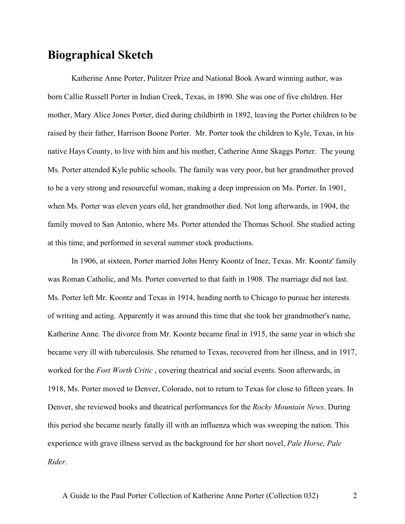## **Biographical Sketch**

Katherine Anne Porter, Pulitzer Prize and National Book Award winning author, was born Callie Russell Porter in Indian Creek, Texas, in 1890. She was one of five children. Her mother, Mary Alice Jones Porter, died during childbirth in 1892, leaving the Porter children to be raised by their father, Harrison Boone Porter. Mr. Porter took the children to Kyle, Texas, in his native Hays County, to live with him and his mother, Catherine Anne Skaggs Porter. The young Ms. Porter attended Kyle public schools. The family was very poor, but her grandmother proved to be a very strong and resourceful woman, making a deep impression on Ms. Porter. In 1901, when Ms. Porter was eleven years old, her grandmother died. Not long afterwards, in 1904, the family moved to San Antonio, where Ms. Porter attended the Thomas School. She studied acting at this time, and performed in several summer stock productions.

In 1906, at sixteen, Porter married John Henry Koontz of Inez, Texas. Mr. Koontz' family was Roman Catholic, and Ms. Porter converted to that faith in 1908. The marriage did not last. Ms. Porter left Mr. Koontz and Texas in 1914, heading north to Chicago to pursue her interests of writing and acting. Apparently it was around this time that she took her grandmother's name, Katherine Anne. The divorce from Mr. Koontz became final in 1915, the same year in which she became very ill with tuberculosis. She returned to Texas, recovered from her illness, and in 1917, worked for the *Fort Worth Critic* , covering theatrical and social events. Soon afterwards, in 1918, Ms. Porter moved to Denver, Colorado, not to return to Texas for close to fifteen years. In Denver, she reviewed books and theatrical performances for the *Rocky Mountain News*. During this period she became nearly fatally ill with an influenza which was sweeping the nation. This experience with grave illness served as the background for her short novel, *Pale Horse, Pale Rider*.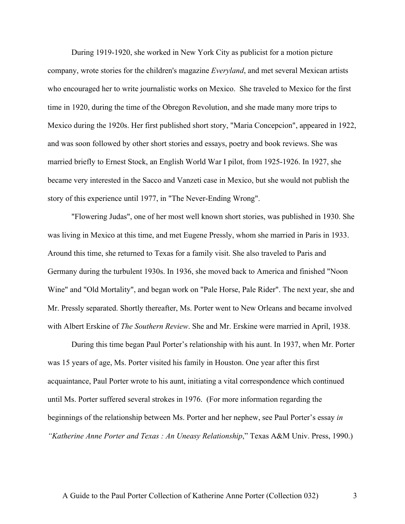During 1919-1920, she worked in New York City as publicist for a motion picture company, wrote stories for the children's magazine *Everyland*, and met several Mexican artists who encouraged her to write journalistic works on Mexico. She traveled to Mexico for the first time in 1920, during the time of the Obregon Revolution, and she made many more trips to Mexico during the 1920s. Her first published short story, "Maria Concepcion", appeared in 1922, and was soon followed by other short stories and essays, poetry and book reviews. She was married briefly to Ernest Stock, an English World War I pilot, from 1925-1926. In 1927, she became very interested in the Sacco and Vanzeti case in Mexico, but she would not publish the story of this experience until 1977, in "The Never-Ending Wrong".

"Flowering Judas", one of her most well known short stories, was published in 1930. She was living in Mexico at this time, and met Eugene Pressly, whom she married in Paris in 1933. Around this time, she returned to Texas for a family visit. She also traveled to Paris and Germany during the turbulent 1930s. In 1936, she moved back to America and finished "Noon Wine" and "Old Mortality", and began work on "Pale Horse, Pale Rider". The next year, she and Mr. Pressly separated. Shortly thereafter, Ms. Porter went to New Orleans and became involved with Albert Erskine of *The Southern Review*. She and Mr. Erskine were married in April, 1938.

During this time began Paul Porter's relationship with his aunt. In 1937, when Mr. Porter was 15 years of age, Ms. Porter visited his family in Houston. One year after this first acquaintance, Paul Porter wrote to his aunt, initiating a vital correspondence which continued until Ms. Porter suffered several strokes in 1976. (For more information regarding the beginnings of the relationship between Ms. Porter and her nephew, see Paul Porter's essay *in "Katherine Anne Porter and Texas : An Uneasy Relationship*," Texas A&M Univ. Press, 1990.)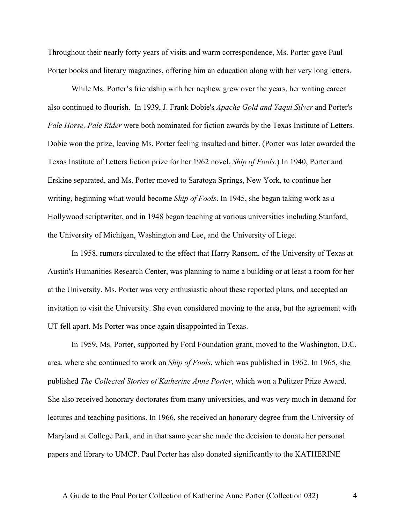Throughout their nearly forty years of visits and warm correspondence, Ms. Porter gave Paul Porter books and literary magazines, offering him an education along with her very long letters.

While Ms. Porter's friendship with her nephew grew over the years, her writing career also continued to flourish. In 1939, J. Frank Dobie's *Apache Gold and Yaqui Silver* and Porter's *Pale Horse, Pale Rider* were both nominated for fiction awards by the Texas Institute of Letters. Dobie won the prize, leaving Ms. Porter feeling insulted and bitter. (Porter was later awarded the Texas Institute of Letters fiction prize for her 1962 novel, *Ship of Fools*.) In 1940, Porter and Erskine separated, and Ms. Porter moved to Saratoga Springs, New York, to continue her writing, beginning what would become *Ship of Fools*. In 1945, she began taking work as a Hollywood scriptwriter, and in 1948 began teaching at various universities including Stanford, the University of Michigan, Washington and Lee, and the University of Liege.

In 1958, rumors circulated to the effect that Harry Ransom, of the University of Texas at Austin's Humanities Research Center, was planning to name a building or at least a room for her at the University. Ms. Porter was very enthusiastic about these reported plans, and accepted an invitation to visit the University. She even considered moving to the area, but the agreement with UT fell apart. Ms Porter was once again disappointed in Texas.

In 1959, Ms. Porter, supported by Ford Foundation grant, moved to the Washington, D.C. area, where she continued to work on *Ship of Fools*, which was published in 1962. In 1965, she published *The Collected Stories of Katherine Anne Porter*, which won a Pulitzer Prize Award. She also received honorary doctorates from many universities, and was very much in demand for lectures and teaching positions. In 1966, she received an honorary degree from the University of Maryland at College Park, and in that same year she made the decision to donate her personal papers and library to UMCP. Paul Porter has also donated significantly to the KATHERINE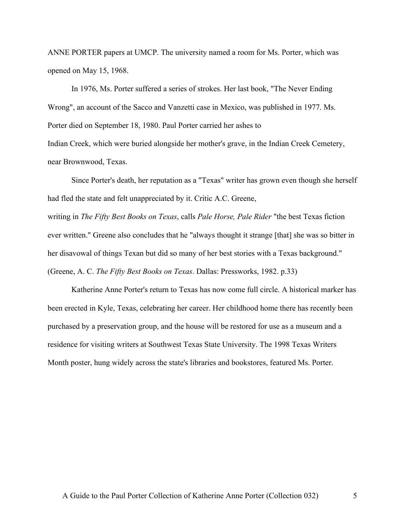ANNE PORTER papers at UMCP. The university named a room for Ms. Porter, which was opened on May 15, 1968.

In 1976, Ms. Porter suffered a series of strokes. Her last book, "The Never Ending Wrong", an account of the Sacco and Vanzetti case in Mexico, was published in 1977. Ms. Porter died on September 18, 1980. Paul Porter carried her ashes to

Indian Creek, which were buried alongside her mother's grave, in the Indian Creek Cemetery, near Brownwood, Texas.

Since Porter's death, her reputation as a "Texas" writer has grown even though she herself had fled the state and felt unappreciated by it. Critic A.C. Greene,

writing in *The Fifty Best Books on Texas*, calls *Pale Horse, Pale Rider* "the best Texas fiction ever written." Greene also concludes that he "always thought it strange [that] she was so bitter in her disavowal of things Texan but did so many of her best stories with a Texas background." (Greene, A. C. *The Fifty Best Books on Texas*. Dallas: Pressworks, 1982. p.33)

Katherine Anne Porter's return to Texas has now come full circle. A historical marker has been erected in Kyle, Texas, celebrating her career. Her childhood home there has recently been purchased by a preservation group, and the house will be restored for use as a museum and a residence for visiting writers at Southwest Texas State University. The 1998 Texas Writers Month poster, hung widely across the state's libraries and bookstores, featured Ms. Porter.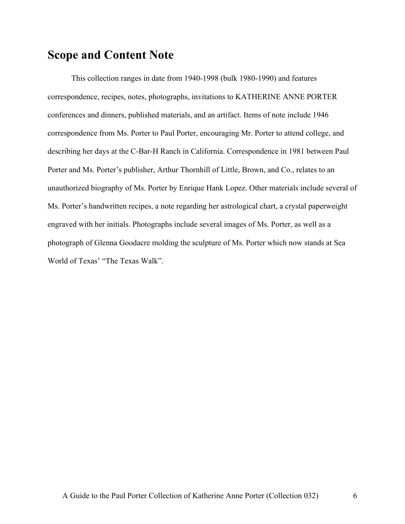## **Scope and Content Note**

This collection ranges in date from 1940-1998 (bulk 1980-1990) and features correspondence, recipes, notes, photographs, invitations to KATHERINE ANNE PORTER conferences and dinners, published materials, and an artifact. Items of note include 1946 correspondence from Ms. Porter to Paul Porter, encouraging Mr. Porter to attend college, and describing her days at the C-Bar-H Ranch in California. Correspondence in 1981 between Paul Porter and Ms. Porter's publisher, Arthur Thornhill of Little, Brown, and Co., relates to an unauthorized biography of Ms. Porter by Enrique Hank Lopez. Other materials include several of Ms. Porter's handwritten recipes, a note regarding her astrological chart, a crystal paperweight engraved with her initials. Photographs include several images of Ms. Porter, as well as a photograph of Glenna Goodacre molding the sculpture of Ms. Porter which now stands at Sea World of Texas' "The Texas Walk".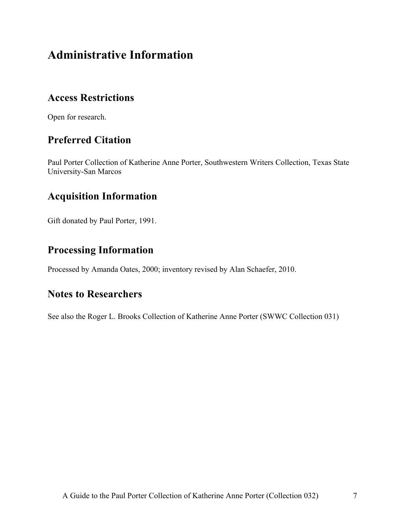## **Administrative Information**

## **Access Restrictions**

Open for research.

## **Preferred Citation**

Paul Porter Collection of Katherine Anne Porter, Southwestern Writers Collection, Texas State University-San Marcos

## **Acquisition Information**

Gift donated by Paul Porter, 1991.

## **Processing Information**

Processed by Amanda Oates, 2000; inventory revised by Alan Schaefer, 2010.

### **Notes to Researchers**

See also the Roger L. Brooks Collection of Katherine Anne Porter (SWWC Collection 031)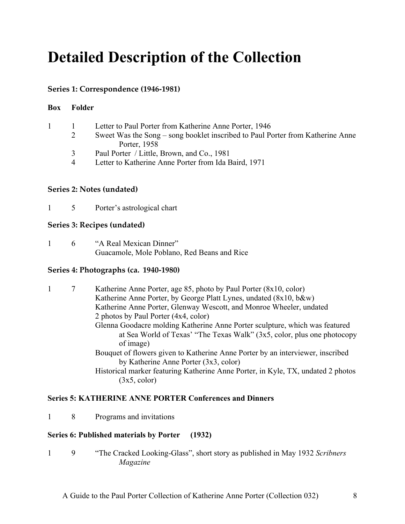# **Detailed Description of the Collection**

### **Series 1: Correspondence (1946-1981)**

### **Box Folder**

|                | Letter to Paul Porter from Katherine Anne Porter, 1946                         |
|----------------|--------------------------------------------------------------------------------|
| 2              | Sweet Was the Song – song booklet inscribed to Paul Porter from Katherine Anne |
|                | Porter, 1958                                                                   |
| $\mathcal{R}$  | Paul Porter / Little, Brown, and Co., 1981                                     |
| $\overline{4}$ | Letter to Katherine Anne Porter from Ida Baird, 1971                           |
|                |                                                                                |

#### **Series 2: Notes (undated)**

1 5 Porter's astrological chart

#### **Series 3: Recipes (undated)**

1 6 "A Real Mexican Dinner" Guacamole, Mole Poblano, Red Beans and Rice

### **Series 4: Photographs (ca. 1940-1980)**

|  | Katherine Anne Porter, age 85, photo by Paul Porter (8x10, color)                |
|--|----------------------------------------------------------------------------------|
|  | Katherine Anne Porter, by George Platt Lynes, undated (8x10, b&w)                |
|  | Katherine Anne Porter, Glenway Wescott, and Monroe Wheeler, undated              |
|  | 2 photos by Paul Porter (4x4, color)                                             |
|  | Glenna Goodacre molding Katherine Anne Porter sculpture, which was featured      |
|  | at Sea World of Texas' "The Texas Walk" (3x5, color, plus one photocopy          |
|  | of image)                                                                        |
|  | Bouquet of flowers given to Katherine Anne Porter by an interviewer, inscribed   |
|  | by Katherine Anne Porter (3x3, color)                                            |
|  | Historical marker featuring Katherine Anne Porter, in Kyle, TX, undated 2 photos |
|  | (3x5, color)                                                                     |

### **Series 5: KATHERINE ANNE PORTER Conferences and Dinners**

1 8 Programs and invitations

### **Series 6: Published materials by Porter (1932)**

1 9 "The Cracked Looking-Glass", short story as published in May 1932 *Scribners Magazine*